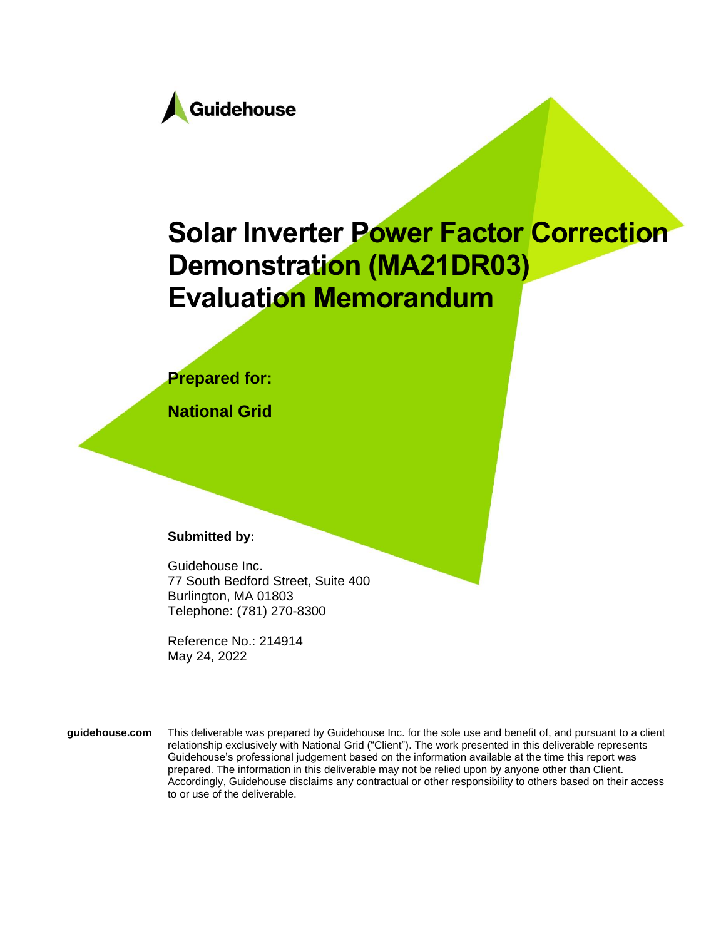

# **Solar Inverter Power Factor Correction Demonstration (MA21DR03) Evaluation Memorandum**

### **Prepared for:**

**National Grid**

### **Submitted by:**

Guidehouse Inc. 77 South Bedford Street, Suite 400 Burlington, MA 01803 Telephone: (781) 270-8300

Reference No.: 214914 May 24, 2022

**guidehouse.com** This deliverable was prepared by Guidehouse Inc. for the sole use and benefit of, and pursuant to a client relationship exclusively with National Grid ("Client"). The work presented in this deliverable represents Guidehouse's professional judgement based on the information available at the time this report was prepared. The information in this deliverable may not be relied upon by anyone other than Client. Accordingly, Guidehouse disclaims any contractual or other responsibility to others based on their access to or use of the deliverable.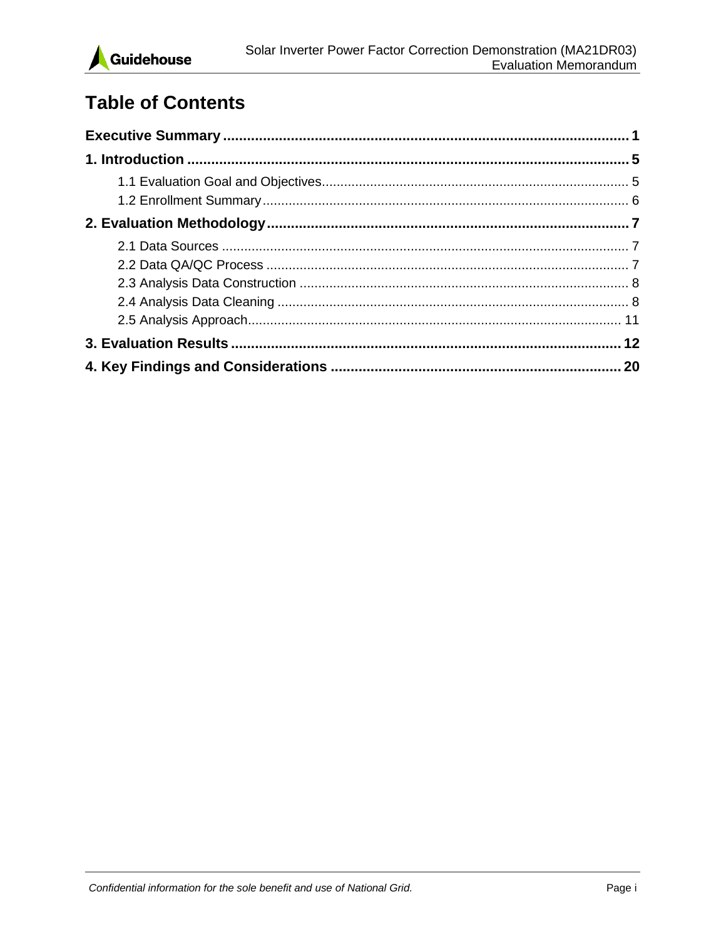

# **Table of Contents**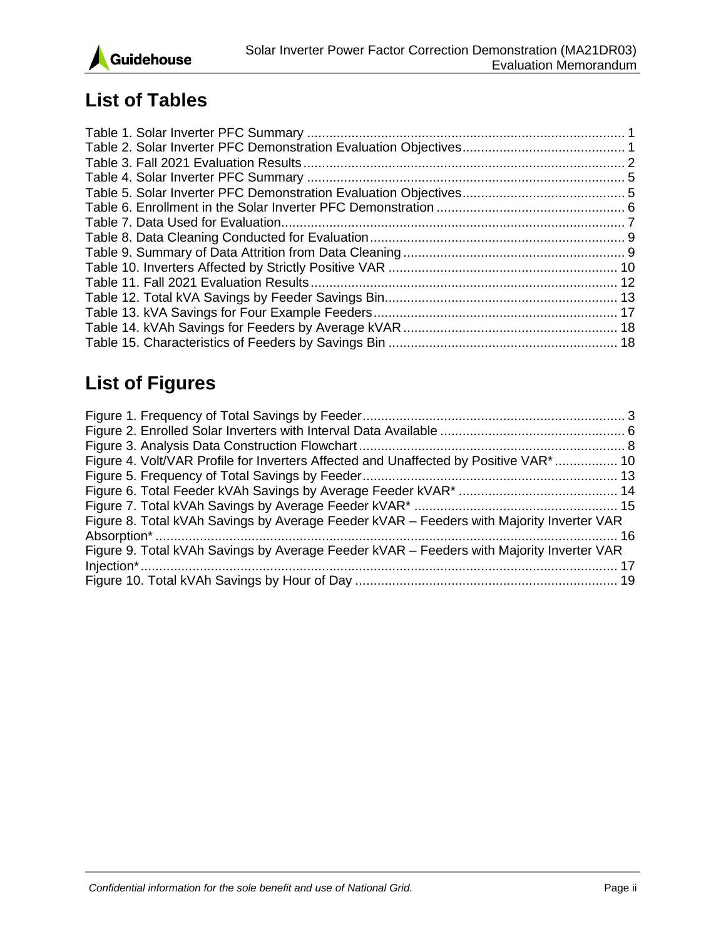

## **List of Tables**

# **List of Figures**

| Figure 4. Volt/VAR Profile for Inverters Affected and Unaffected by Positive VAR <sup>*</sup> 10 |  |
|--------------------------------------------------------------------------------------------------|--|
|                                                                                                  |  |
|                                                                                                  |  |
|                                                                                                  |  |
| Figure 8. Total kVAh Savings by Average Feeder kVAR – Feeders with Majority Inverter VAR         |  |
|                                                                                                  |  |
| Figure 9. Total kVAh Savings by Average Feeder kVAR - Feeders with Majority Inverter VAR         |  |
|                                                                                                  |  |
|                                                                                                  |  |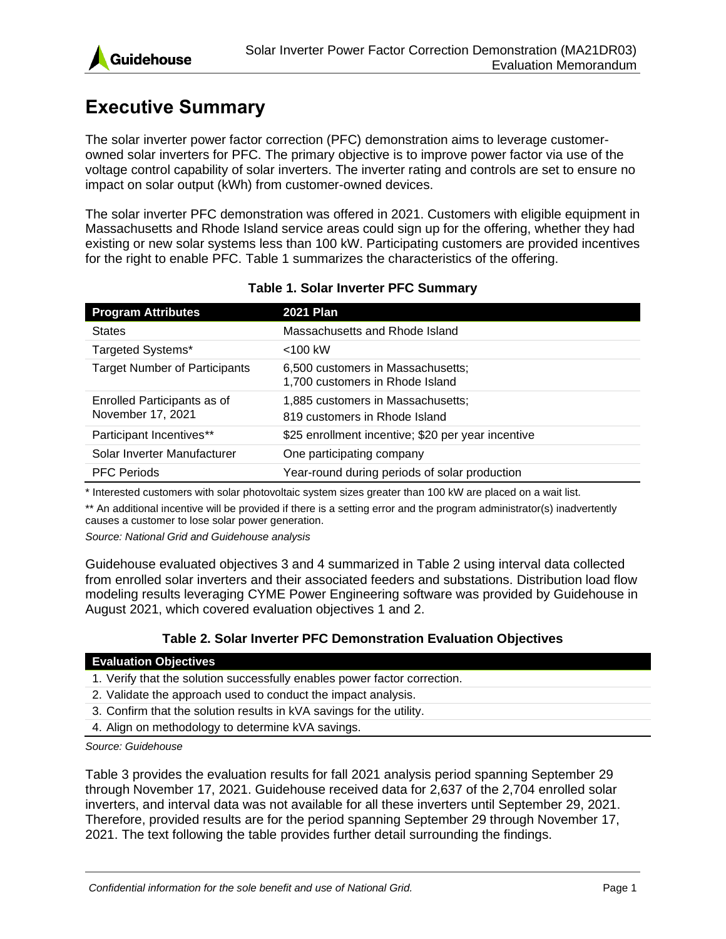

# <span id="page-3-0"></span>**Executive Summary**

The solar inverter power factor correction (PFC) demonstration aims to leverage customerowned solar inverters for PFC. The primary objective is to improve power factor via use of the voltage control capability of solar inverters. The inverter rating and controls are set to ensure no impact on solar output (kWh) from customer-owned devices.

The solar inverter PFC demonstration was offered in 2021. Customers with eligible equipment in Massachusetts and Rhode Island service areas could sign up for the offering, whether they had existing or new solar systems less than 100 kW. Participating customers are provided incentives for the right to enable PFC. Table 1 summarizes the characteristics of the offering.

<span id="page-3-1"></span>

| <b>Program Attributes</b>                        | <b>2021 Plan</b>                                                     |
|--------------------------------------------------|----------------------------------------------------------------------|
| <b>States</b>                                    | Massachusetts and Rhode Island                                       |
| Targeted Systems*                                | $<$ 100 kW                                                           |
| <b>Target Number of Participants</b>             | 6,500 customers in Massachusetts;<br>1,700 customers in Rhode Island |
| Enrolled Participants as of<br>November 17, 2021 | 1,885 customers in Massachusetts;<br>819 customers in Rhode Island   |
| Participant Incentives**                         | \$25 enrollment incentive; \$20 per year incentive                   |
| Solar Inverter Manufacturer                      | One participating company                                            |
| <b>PFC Periods</b>                               | Year-round during periods of solar production                        |

### **Table 1. Solar Inverter PFC Summary**

\* Interested customers with solar photovoltaic system sizes greater than 100 kW are placed on a wait list.

\*\* An additional incentive will be provided if there is a setting error and the program administrator(s) inadvertently causes a customer to lose solar power generation.

*Source: National Grid and Guidehouse analysis*

Guidehouse evaluated objectives 3 and 4 summarized in [Table 2](#page-3-2) using interval data collected from enrolled solar inverters and their associated feeders and substations. Distribution load flow modeling results leveraging CYME Power Engineering software was provided by Guidehouse in August 2021, which covered evaluation objectives 1 and 2.

### **Table 2. Solar Inverter PFC Demonstration Evaluation Objectives**

#### <span id="page-3-2"></span>**Evaluation Objectives**

- 1. Verify that the solution successfully enables power factor correction.
- 2. Validate the approach used to conduct the impact analysis.
- 3. Confirm that the solution results in kVA savings for the utility.
- 4. Align on methodology to determine kVA savings.

#### *Source: Guidehouse*

[Table 3](#page-4-0) provides the evaluation results for fall 2021 analysis period spanning September 29 through November 17, 2021. Guidehouse received data for 2,637 of the 2,704 enrolled solar inverters, and interval data was not available for all these inverters until September 29, 2021. Therefore, provided results are for the period spanning September 29 through November 17, 2021. The text following the table provides further detail surrounding the findings.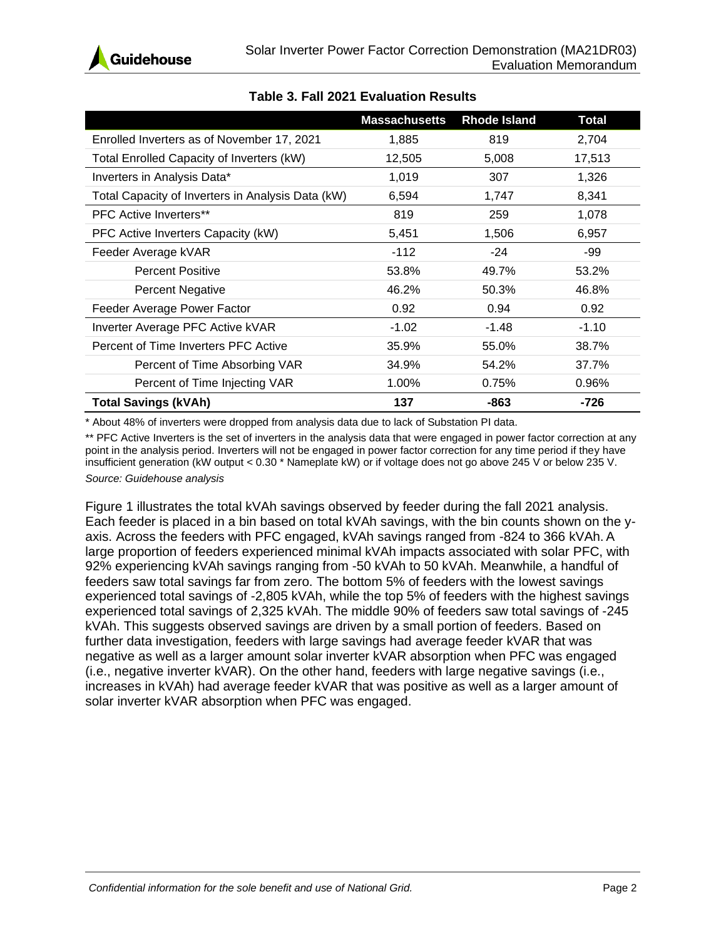

<span id="page-4-0"></span>

|                                                   | <b>Massachusetts</b> | <b>Rhode Island</b> | <b>Total</b> |
|---------------------------------------------------|----------------------|---------------------|--------------|
| Enrolled Inverters as of November 17, 2021        | 1,885                | 819                 | 2,704        |
| Total Enrolled Capacity of Inverters (kW)         | 12,505               | 5,008               | 17,513       |
| Inverters in Analysis Data*                       | 1,019                | 307                 | 1,326        |
| Total Capacity of Inverters in Analysis Data (kW) | 6,594                | 1,747               | 8,341        |
| <b>PFC Active Inverters**</b>                     | 819                  | 259                 | 1,078        |
| PFC Active Inverters Capacity (kW)                | 5,451                | 1,506               | 6,957        |
| Feeder Average kVAR                               | $-112$               | $-24$               | -99          |
| <b>Percent Positive</b>                           | 53.8%                | 49.7%               | 53.2%        |
| <b>Percent Negative</b>                           | 46.2%                | 50.3%               | 46.8%        |
| Feeder Average Power Factor                       | 0.92                 | 0.94                | 0.92         |
| Inverter Average PFC Active kVAR                  | $-1.02$              | $-1.48$             | $-1.10$      |
| Percent of Time Inverters PFC Active              | 35.9%                | 55.0%               | 38.7%        |
| Percent of Time Absorbing VAR                     | 34.9%                | 54.2%               | 37.7%        |
| Percent of Time Injecting VAR                     | 1.00%                | 0.75%               | 0.96%        |
| <b>Total Savings (kVAh)</b>                       | 137                  | -863                | -726         |

### **Table 3. Fall 2021 Evaluation Results**

\* About 48% of inverters were dropped from analysis data due to lack of Substation PI data.

\*\* PFC Active Inverters is the set of inverters in the analysis data that were engaged in power factor correction at any point in the analysis period. Inverters will not be engaged in power factor correction for any time period if they have insufficient generation (kW output < 0.30 \* Nameplate kW) or if voltage does not go above 245 V or below 235 V. *Source: Guidehouse analysis*

[Figure 1](#page-5-0) illustrates the total kVAh savings observed by feeder during the fall 2021 analysis. Each feeder is placed in a bin based on total kVAh savings, with the bin counts shown on the yaxis. Across the feeders with PFC engaged, kVAh savings ranged from -824 to 366 kVAh. A large proportion of feeders experienced minimal kVAh impacts associated with solar PFC, with 92% experiencing kVAh savings ranging from -50 kVAh to 50 kVAh. Meanwhile, a handful of feeders saw total savings far from zero. The bottom 5% of feeders with the lowest savings experienced total savings of -2,805 kVAh, while the top 5% of feeders with the highest savings experienced total savings of 2,325 kVAh. The middle 90% of feeders saw total savings of -245 kVAh. This suggests observed savings are driven by a small portion of feeders. Based on further data investigation, feeders with large savings had average feeder kVAR that was negative as well as a larger amount solar inverter kVAR absorption when PFC was engaged (i.e., negative inverter kVAR). On the other hand, feeders with large negative savings (i.e., increases in kVAh) had average feeder kVAR that was positive as well as a larger amount of solar inverter kVAR absorption when PFC was engaged.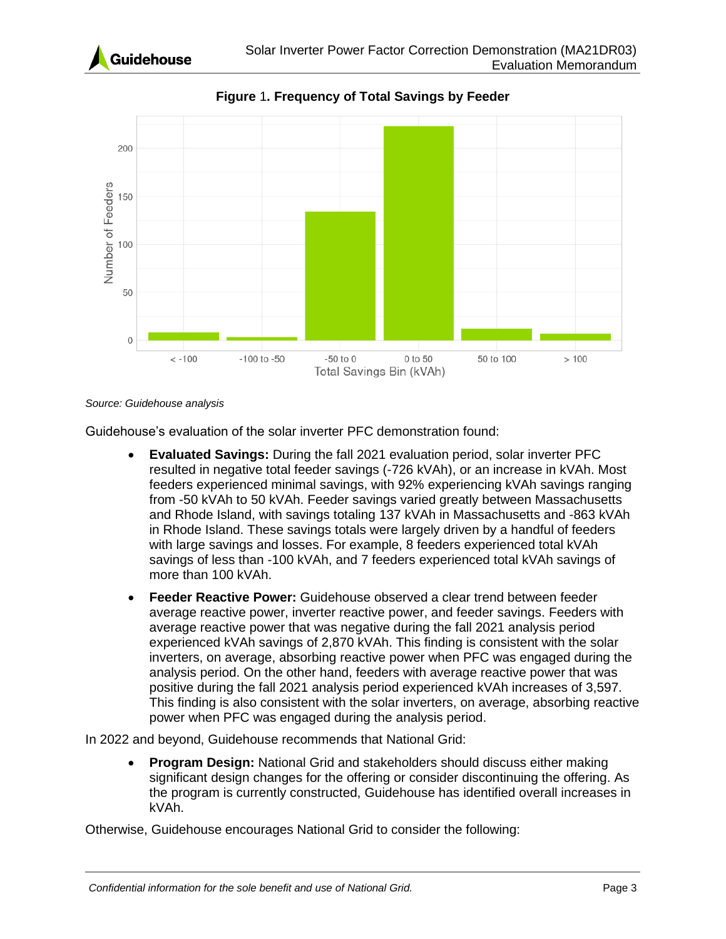

<span id="page-5-0"></span>

**Figure** 1**. Frequency of Total Savings by Feeder**

#### *Source: Guidehouse analysis*

Guidehouse's evaluation of the solar inverter PFC demonstration found:

- **Evaluated Savings:** During the fall 2021 evaluation period, solar inverter PFC resulted in negative total feeder savings (-726 kVAh), or an increase in kVAh. Most feeders experienced minimal savings, with 92% experiencing kVAh savings ranging from -50 kVAh to 50 kVAh. Feeder savings varied greatly between Massachusetts and Rhode Island, with savings totaling 137 kVAh in Massachusetts and -863 kVAh in Rhode Island. These savings totals were largely driven by a handful of feeders with large savings and losses. For example, 8 feeders experienced total kVAh savings of less than -100 kVAh, and 7 feeders experienced total kVAh savings of more than 100 kVAh.
- **Feeder Reactive Power:** Guidehouse observed a clear trend between feeder average reactive power, inverter reactive power, and feeder savings. Feeders with average reactive power that was negative during the fall 2021 analysis period experienced kVAh savings of 2,870 kVAh. This finding is consistent with the solar inverters, on average, absorbing reactive power when PFC was engaged during the analysis period. On the other hand, feeders with average reactive power that was positive during the fall 2021 analysis period experienced kVAh increases of 3,597. This finding is also consistent with the solar inverters, on average, absorbing reactive power when PFC was engaged during the analysis period.

In 2022 and beyond, Guidehouse recommends that National Grid:

• **Program Design:** National Grid and stakeholders should discuss either making significant design changes for the offering or consider discontinuing the offering. As the program is currently constructed, Guidehouse has identified overall increases in kVAh.

Otherwise, Guidehouse encourages National Grid to consider the following: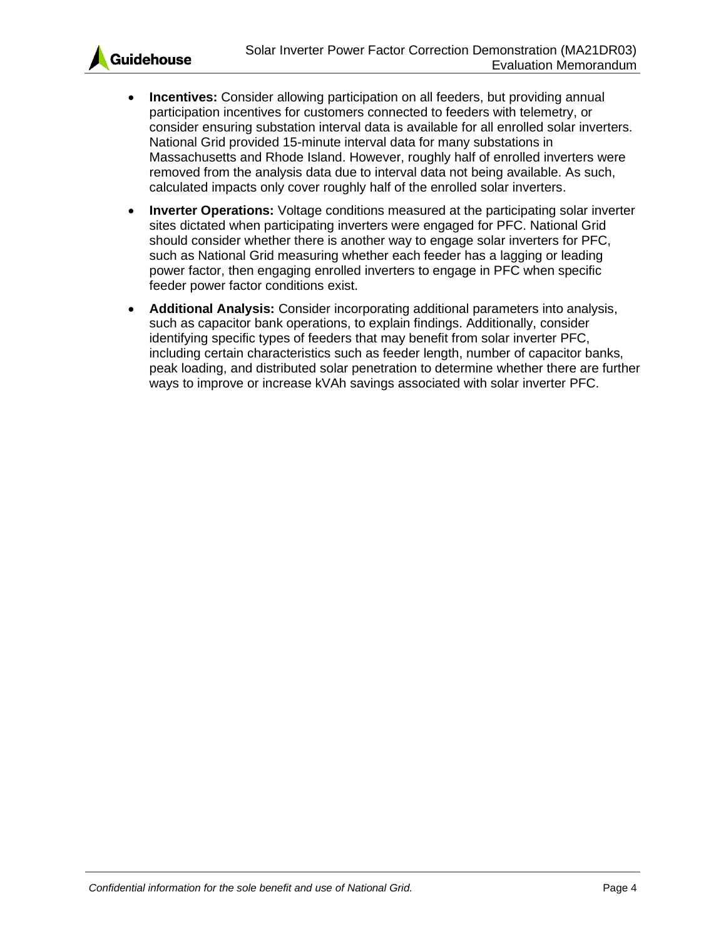

- **Incentives:** Consider allowing participation on all feeders, but providing annual participation incentives for customers connected to feeders with telemetry, or consider ensuring substation interval data is available for all enrolled solar inverters. National Grid provided 15-minute interval data for many substations in Massachusetts and Rhode Island. However, roughly half of enrolled inverters were removed from the analysis data due to interval data not being available. As such, calculated impacts only cover roughly half of the enrolled solar inverters.
- **Inverter Operations:** Voltage conditions measured at the participating solar inverter sites dictated when participating inverters were engaged for PFC. National Grid should consider whether there is another way to engage solar inverters for PFC, such as National Grid measuring whether each feeder has a lagging or leading power factor, then engaging enrolled inverters to engage in PFC when specific feeder power factor conditions exist.
- **Additional Analysis:** Consider incorporating additional parameters into analysis, such as capacitor bank operations, to explain findings. Additionally, consider identifying specific types of feeders that may benefit from solar inverter PFC, including certain characteristics such as feeder length, number of capacitor banks, peak loading, and distributed solar penetration to determine whether there are further ways to improve or increase kVAh savings associated with solar inverter PFC.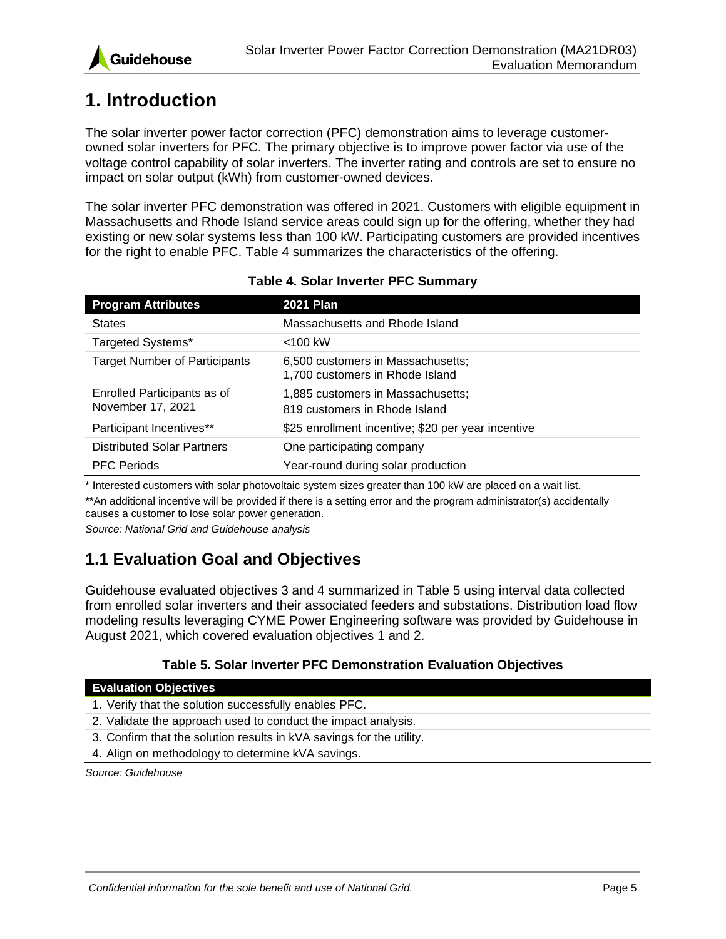

# <span id="page-7-0"></span>**1. Introduction**

The solar inverter power factor correction (PFC) demonstration aims to leverage customerowned solar inverters for PFC. The primary objective is to improve power factor via use of the voltage control capability of solar inverters. The inverter rating and controls are set to ensure no impact on solar output (kWh) from customer-owned devices.

The solar inverter PFC demonstration was offered in 2021. Customers with eligible equipment in Massachusetts and Rhode Island service areas could sign up for the offering, whether they had existing or new solar systems less than 100 kW. Participating customers are provided incentives for the right to enable PFC. [Table 4](#page-7-2) summarizes the characteristics of the offering.

<span id="page-7-2"></span>

| <b>Program Attributes</b>                        | <b>2021 Plan</b>                                                     |
|--------------------------------------------------|----------------------------------------------------------------------|
| <b>States</b>                                    | Massachusetts and Rhode Island                                       |
| Targeted Systems*                                | $<$ 100 kW                                                           |
| <b>Target Number of Participants</b>             | 6,500 customers in Massachusetts;<br>1,700 customers in Rhode Island |
| Enrolled Participants as of<br>November 17, 2021 | 1,885 customers in Massachusetts;<br>819 customers in Rhode Island   |
| Participant Incentives**                         | \$25 enrollment incentive; \$20 per year incentive                   |
| <b>Distributed Solar Partners</b>                | One participating company                                            |
| <b>PFC Periods</b>                               | Year-round during solar production                                   |

### **Table 4. Solar Inverter PFC Summary**

\* Interested customers with solar photovoltaic system sizes greater than 100 kW are placed on a wait list.

\*\*An additional incentive will be provided if there is a setting error and the program administrator(s) accidentally causes a customer to lose solar power generation.

*Source: National Grid and Guidehouse analysis*

### <span id="page-7-1"></span>**1.1 Evaluation Goal and Objectives**

Guidehouse evaluated objectives 3 and 4 summarized in [Table 5](#page-7-3) using interval data collected from enrolled solar inverters and their associated feeders and substations. Distribution load flow modeling results leveraging CYME Power Engineering software was provided by Guidehouse in August 2021, which covered evaluation objectives 1 and 2.

### **Table 5. Solar Inverter PFC Demonstration Evaluation Objectives**

### <span id="page-7-3"></span>**Evaluation Objectives**

1. Verify that the solution successfully enables PFC.

- 2. Validate the approach used to conduct the impact analysis.
- 3. Confirm that the solution results in kVA savings for the utility.
- 4. Align on methodology to determine kVA savings.

*Source: Guidehouse*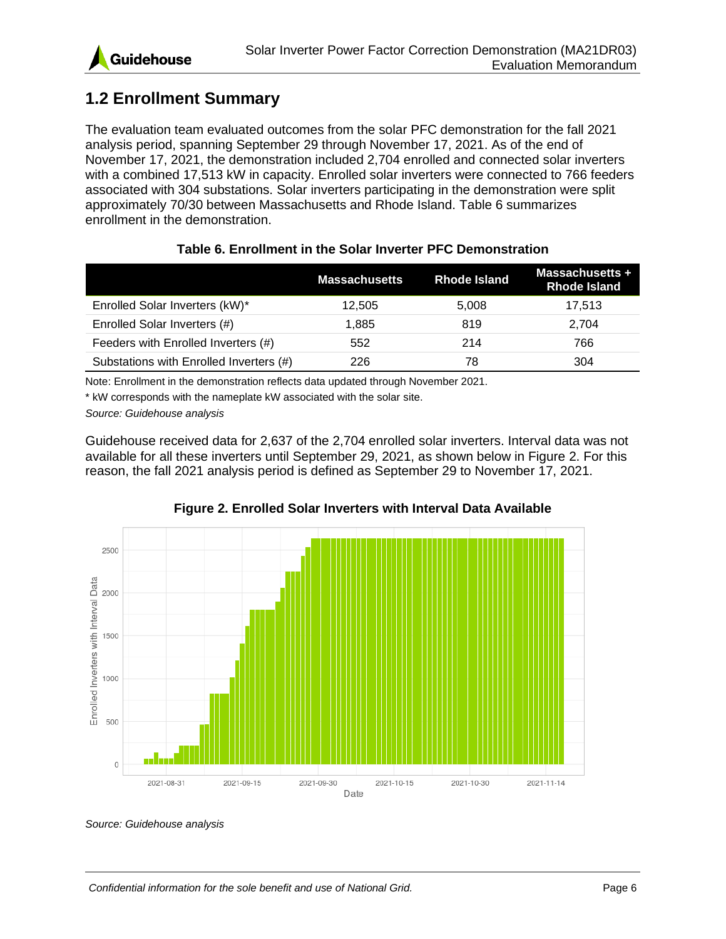### <span id="page-8-0"></span>**1.2 Enrollment Summary**

The evaluation team evaluated outcomes from the solar PFC demonstration for the fall 2021 analysis period, spanning September 29 through November 17, 2021. As of the end of November 17, 2021, the demonstration included 2,704 enrolled and connected solar inverters with a combined 17,513 kW in capacity. Enrolled solar inverters were connected to 766 feeders associated with 304 substations. Solar inverters participating in the demonstration were split approximately 70/30 between Massachusetts and Rhode Island. [Table 6](#page-8-1) summarizes enrollment in the demonstration.

<span id="page-8-1"></span>

|                                         | <b>Massachusetts</b> | <b>Rhode Island</b> | <b>Massachusetts +</b><br>Rhode Island |
|-----------------------------------------|----------------------|---------------------|----------------------------------------|
| Enrolled Solar Inverters (kW)*          | 12.505               | 5,008               | 17,513                                 |
| Enrolled Solar Inverters (#)            | 1.885                | 819                 | 2.704                                  |
| Feeders with Enrolled Inverters (#)     | 552                  | 214                 | 766                                    |
| Substations with Enrolled Inverters (#) | 226                  | 78                  | 304                                    |

#### **Table 6. Enrollment in the Solar Inverter PFC Demonstration**

Note: Enrollment in the demonstration reflects data updated through November 2021.

\* kW corresponds with the nameplate kW associated with the solar site.

*Source: Guidehouse analysis*

Guidehouse received data for 2,637 of the 2,704 enrolled solar inverters. Interval data was not available for all these inverters until September 29, 2021, as shown below in [Figure 2.](#page-8-2) For this reason, the fall 2021 analysis period is defined as September 29 to November 17, 2021.

<span id="page-8-2"></span>

### **Figure 2. Enrolled Solar Inverters with Interval Data Available**

*Source: Guidehouse analysis*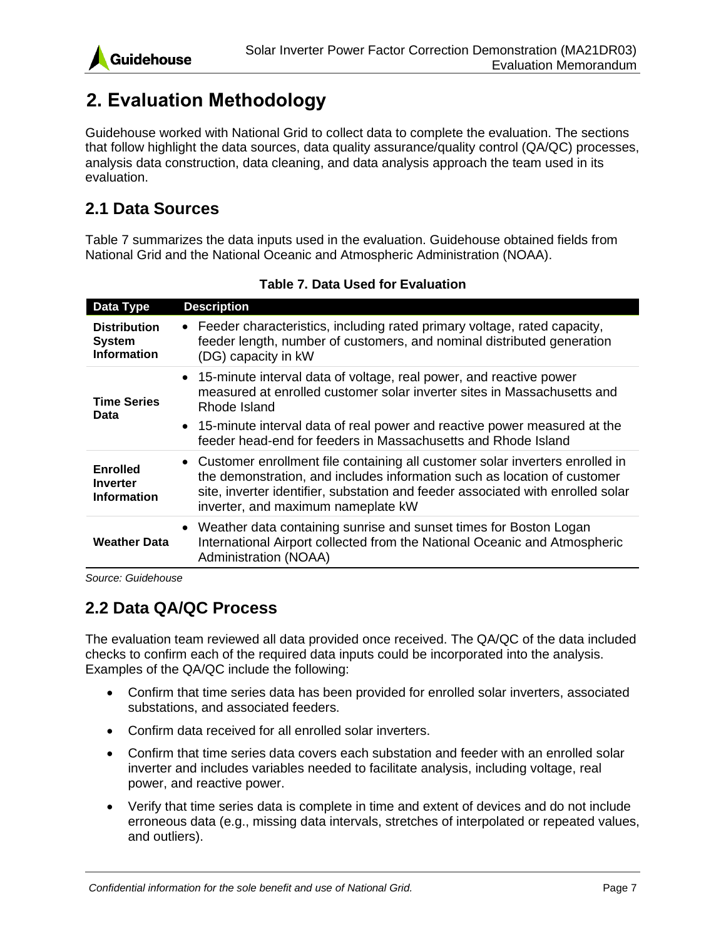

# <span id="page-9-0"></span>**2. Evaluation Methodology**

Guidehouse worked with National Grid to collect data to complete the evaluation. The sections that follow highlight the data sources, data quality assurance/quality control (QA/QC) processes, analysis data construction, data cleaning, and data analysis approach the team used in its evaluation.

### <span id="page-9-1"></span>**2.1 Data Sources**

[Table 7](#page-9-3) summarizes the data inputs used in the evaluation. Guidehouse obtained fields from National Grid and the National Oceanic and Atmospheric Administration (NOAA).

<span id="page-9-3"></span>

| Data Type                                                  | <b>Description</b>                                                                                                                                                                                                                                                                                             |
|------------------------------------------------------------|----------------------------------------------------------------------------------------------------------------------------------------------------------------------------------------------------------------------------------------------------------------------------------------------------------------|
| <b>Distribution</b><br><b>System</b><br><b>Information</b> | • Feeder characteristics, including rated primary voltage, rated capacity,<br>feeder length, number of customers, and nominal distributed generation<br>(DG) capacity in kW                                                                                                                                    |
| <b>Time Series</b><br>Data                                 | • 15-minute interval data of voltage, real power, and reactive power<br>measured at enrolled customer solar inverter sites in Massachusetts and<br>Rhode Island<br>• 15-minute interval data of real power and reactive power measured at the<br>feeder head-end for feeders in Massachusetts and Rhode Island |
| <b>Enrolled</b><br><b>Inverter</b><br><b>Information</b>   | • Customer enrollment file containing all customer solar inverters enrolled in<br>the demonstration, and includes information such as location of customer<br>site, inverter identifier, substation and feeder associated with enrolled solar<br>inverter, and maximum nameplate kW                            |
| <b>Weather Data</b>                                        | • Weather data containing sunrise and sunset times for Boston Logan<br>International Airport collected from the National Oceanic and Atmospheric<br>Administration (NOAA)                                                                                                                                      |

**Table 7. Data Used for Evaluation**

*Source: Guidehouse*

### <span id="page-9-2"></span>**2.2 Data QA/QC Process**

The evaluation team reviewed all data provided once received. The QA/QC of the data included checks to confirm each of the required data inputs could be incorporated into the analysis. Examples of the QA/QC include the following:

- Confirm that time series data has been provided for enrolled solar inverters, associated substations, and associated feeders.
- Confirm data received for all enrolled solar inverters.
- Confirm that time series data covers each substation and feeder with an enrolled solar inverter and includes variables needed to facilitate analysis, including voltage, real power, and reactive power.
- Verify that time series data is complete in time and extent of devices and do not include erroneous data (e.g., missing data intervals, stretches of interpolated or repeated values, and outliers).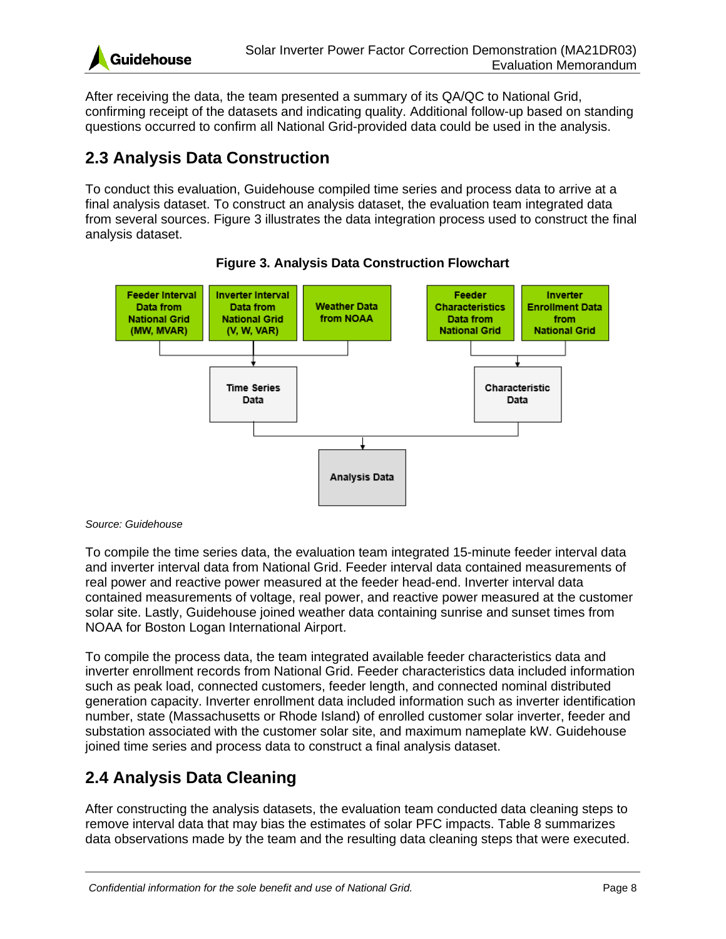

After receiving the data, the team presented a summary of its QA/QC to National Grid, confirming receipt of the datasets and indicating quality. Additional follow-up based on standing questions occurred to confirm all National Grid-provided data could be used in the analysis.

### <span id="page-10-0"></span>**2.3 Analysis Data Construction**

To conduct this evaluation, Guidehouse compiled time series and process data to arrive at a final analysis dataset. To construct an analysis dataset, the evaluation team integrated data from several sources. [Figure 3](#page-10-2) illustrates the data integration process used to construct the final analysis dataset.

<span id="page-10-2"></span>

![](_page_10_Figure_6.jpeg)

#### *Source: Guidehouse*

To compile the time series data, the evaluation team integrated 15-minute feeder interval data and inverter interval data from National Grid. Feeder interval data contained measurements of real power and reactive power measured at the feeder head-end. Inverter interval data contained measurements of voltage, real power, and reactive power measured at the customer solar site. Lastly, Guidehouse joined weather data containing sunrise and sunset times from NOAA for Boston Logan International Airport.

To compile the process data, the team integrated available feeder characteristics data and inverter enrollment records from National Grid. Feeder characteristics data included information such as peak load, connected customers, feeder length, and connected nominal distributed generation capacity. Inverter enrollment data included information such as inverter identification number, state (Massachusetts or Rhode Island) of enrolled customer solar inverter, feeder and substation associated with the customer solar site, and maximum nameplate kW. Guidehouse joined time series and process data to construct a final analysis dataset.

### <span id="page-10-1"></span>**2.4 Analysis Data Cleaning**

After constructing the analysis datasets, the evaluation team conducted data cleaning steps to remove interval data that may bias the estimates of solar PFC impacts. [Table 8](#page-11-0) summarizes data observations made by the team and the resulting data cleaning steps that were executed.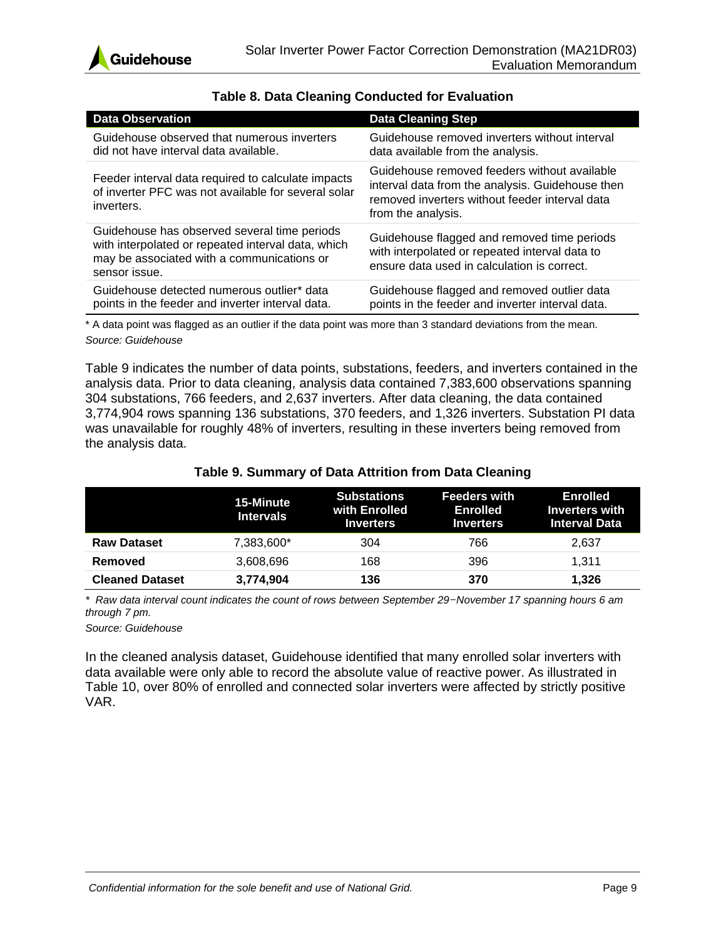![](_page_11_Picture_0.jpeg)

<span id="page-11-0"></span>

| <b>Data Observation</b>                                                                                                                                           | <b>Data Cleaning Step</b>                                                                                                                                                |
|-------------------------------------------------------------------------------------------------------------------------------------------------------------------|--------------------------------------------------------------------------------------------------------------------------------------------------------------------------|
| Guidehouse observed that numerous inverters<br>did not have interval data available.                                                                              | Guidehouse removed inverters without interval<br>data available from the analysis.                                                                                       |
| Feeder interval data required to calculate impacts<br>of inverter PFC was not available for several solar<br>inverters.                                           | Guidehouse removed feeders without available<br>interval data from the analysis. Guidehouse then<br>removed inverters without feeder interval data<br>from the analysis. |
| Guidehouse has observed several time periods<br>with interpolated or repeated interval data, which<br>may be associated with a communications or<br>sensor issue. | Guidehouse flagged and removed time periods<br>with interpolated or repeated interval data to<br>ensure data used in calculation is correct.                             |
| Guidehouse detected numerous outlier* data<br>points in the feeder and inverter interval data.                                                                    | Guidehouse flagged and removed outlier data<br>points in the feeder and inverter interval data.                                                                          |

### **Table 8. Data Cleaning Conducted for Evaluation**

\* A data point was flagged as an outlier if the data point was more than 3 standard deviations from the mean. *Source: Guidehouse*

[Table 9](#page-11-1) indicates the number of data points, substations, feeders, and inverters contained in the analysis data. Prior to data cleaning, analysis data contained 7,383,600 observations spanning 304 substations, 766 feeders, and 2,637 inverters. After data cleaning, the data contained 3,774,904 rows spanning 136 substations, 370 feeders, and 1,326 inverters. Substation PI data was unavailable for roughly 48% of inverters, resulting in these inverters being removed from the analysis data.

### **Table 9. Summary of Data Attrition from Data Cleaning**

<span id="page-11-1"></span>

|                        | 15-Minute<br><b>Intervals</b> | <b>Substations</b><br>with Enrolled<br><b>Inverters</b> | <b>Feeders with</b><br>Enrolled<br><b>Inverters</b> | <b>Enrolled</b><br><b>Inverters with</b><br><b>Interval Data</b> |
|------------------------|-------------------------------|---------------------------------------------------------|-----------------------------------------------------|------------------------------------------------------------------|
| <b>Raw Dataset</b>     | 7,383,600*                    | 304                                                     | 766                                                 | 2,637                                                            |
| Removed                | 3,608,696                     | 168                                                     | 396                                                 | 1.311                                                            |
| <b>Cleaned Dataset</b> | 3,774,904                     | 136                                                     | 370                                                 | 1.326                                                            |

*\* Raw data interval count indicates the count of rows between September 29–November 17 spanning hours 6 am through 7 pm.*

*Source: Guidehouse*

In the cleaned analysis dataset, Guidehouse identified that many enrolled solar inverters with data available were only able to record the absolute value of reactive power. As illustrated in [Table 10,](#page-12-0) over 80% of enrolled and connected solar inverters were affected by strictly positive VAR.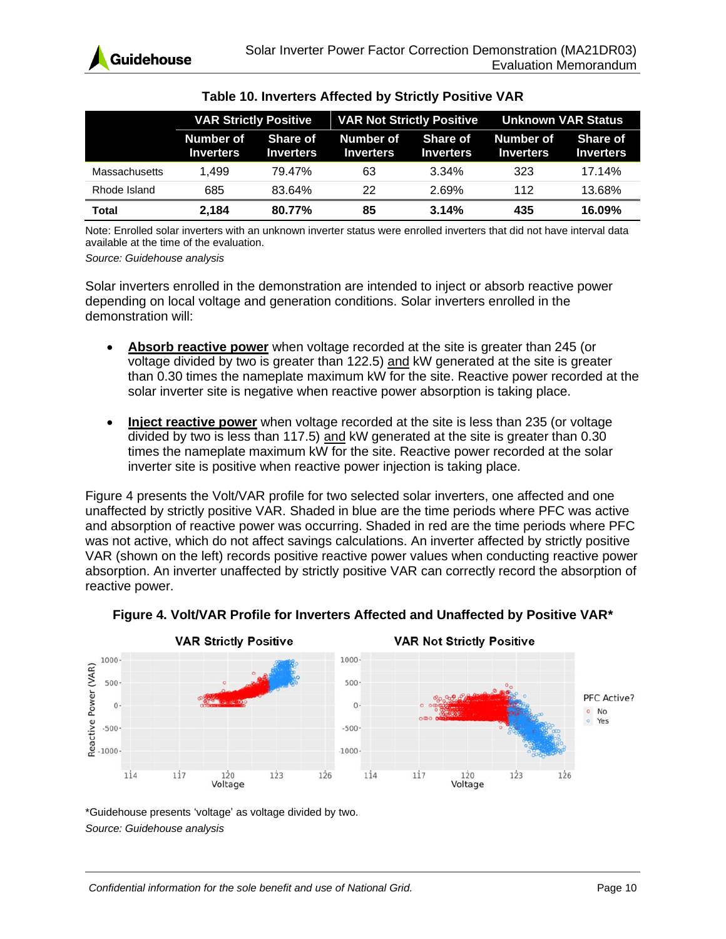<span id="page-12-0"></span>

|                      | <b>VAR Not Strictly Positive</b><br><b>VAR Strictly Positive</b> |                              | Unknown VAR Status            |                                     |                               |                                     |
|----------------------|------------------------------------------------------------------|------------------------------|-------------------------------|-------------------------------------|-------------------------------|-------------------------------------|
|                      | Number of<br><b>Inverters</b>                                    | Share of<br><b>Inverters</b> | Number of<br><b>Inverters</b> | <b>Share of</b><br><b>Inverters</b> | Number of<br><b>Inverters</b> | <b>Share of</b><br><b>Inverters</b> |
| <b>Massachusetts</b> | 1.499                                                            | 79.47%                       | 63                            | 3.34%                               | 323                           | 17.14%                              |
| Rhode Island         | 685                                                              | 83.64%                       | 22                            | 2.69%                               | 112                           | 13.68%                              |
| <b>Total</b>         | 2.184                                                            | 80.77%                       | 85                            | 3.14%                               | 435                           | 16.09%                              |

### **Table 10. Inverters Affected by Strictly Positive VAR**

Note: Enrolled solar inverters with an unknown inverter status were enrolled inverters that did not have interval data available at the time of the evaluation.

*Source: Guidehouse analysis*

Solar inverters enrolled in the demonstration are intended to inject or absorb reactive power depending on local voltage and generation conditions. Solar inverters enrolled in the demonstration will:

- **Absorb reactive power** when voltage recorded at the site is greater than 245 (or voltage divided by two is greater than 122.5) and kW generated at the site is greater than 0.30 times the nameplate maximum kW for the site. Reactive power recorded at the solar inverter site is negative when reactive power absorption is taking place.
- **Inject reactive power** when voltage recorded at the site is less than 235 (or voltage divided by two is less than 117.5) and kW generated at the site is greater than 0.30 times the nameplate maximum kW for the site. Reactive power recorded at the solar inverter site is positive when reactive power injection is taking place.

[Figure 4](#page-12-1) presents the Volt/VAR profile for two selected solar inverters, one affected and one unaffected by strictly positive VAR. Shaded in blue are the time periods where PFC was active and absorption of reactive power was occurring. Shaded in red are the time periods where PFC was not active, which do not affect savings calculations. An inverter affected by strictly positive VAR (shown on the left) records positive reactive power values when conducting reactive power absorption. An inverter unaffected by strictly positive VAR can correctly record the absorption of reactive power.

<span id="page-12-1"></span>![](_page_12_Figure_10.jpeg)

### **Figure 4. Volt/VAR Profile for Inverters Affected and Unaffected by Positive VAR\***

\*Guidehouse presents 'voltage' as voltage divided by two. *Source: Guidehouse analysis*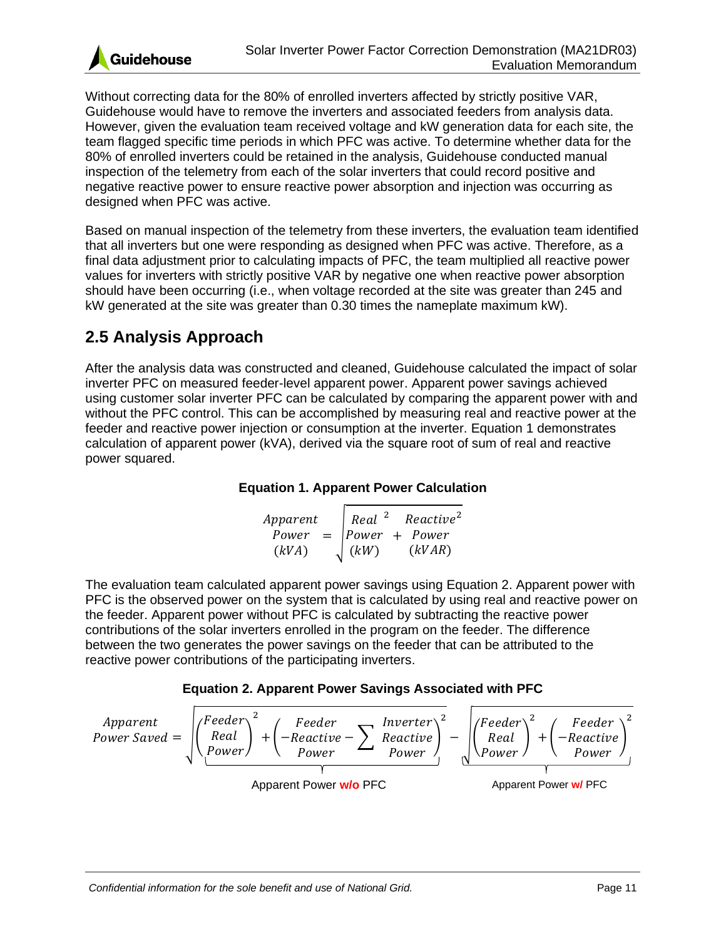![](_page_13_Picture_0.jpeg)

Without correcting data for the 80% of enrolled inverters affected by strictly positive VAR, Guidehouse would have to remove the inverters and associated feeders from analysis data. However, given the evaluation team received voltage and kW generation data for each site, the team flagged specific time periods in which PFC was active. To determine whether data for the 80% of enrolled inverters could be retained in the analysis, Guidehouse conducted manual inspection of the telemetry from each of the solar inverters that could record positive and negative reactive power to ensure reactive power absorption and injection was occurring as designed when PFC was active.

Based on manual inspection of the telemetry from these inverters, the evaluation team identified that all inverters but one were responding as designed when PFC was active. Therefore, as a final data adjustment prior to calculating impacts of PFC, the team multiplied all reactive power values for inverters with strictly positive VAR by negative one when reactive power absorption should have been occurring (i.e., when voltage recorded at the site was greater than 245 and kW generated at the site was greater than 0.30 times the nameplate maximum kW).

### <span id="page-13-0"></span>**2.5 Analysis Approach**

After the analysis data was constructed and cleaned, Guidehouse calculated the impact of solar inverter PFC on measured feeder-level apparent power. Apparent power savings achieved using customer solar inverter PFC can be calculated by comparing the apparent power with and without the PFC control. This can be accomplished by measuring real and reactive power at the feeder and reactive power injection or consumption at the inverter. [Equation 1](#page-13-1) demonstrates calculation of apparent power (kVA), derived via the square root of sum of real and reactive power squared.

### **Equation 1. Apparent Power Calculation**

Apparent Power  $(kVA)$ = √ Real Power  $(kW)$ 2 + Reactive Power  $(kVAR)$ 2

<span id="page-13-1"></span>The evaluation team calculated apparent power savings using [Equation 2.](#page-13-2) Apparent power with PFC is the observed power on the system that is calculated by using real and reactive power on the feeder. Apparent power without PFC is calculated by subtracting the reactive power contributions of the solar inverters enrolled in the program on the feeder. The difference between the two generates the power savings on the feeder that can be attributed to the reactive power contributions of the participating inverters.

![](_page_13_Figure_9.jpeg)

<span id="page-13-2"></span>![](_page_13_Figure_10.jpeg)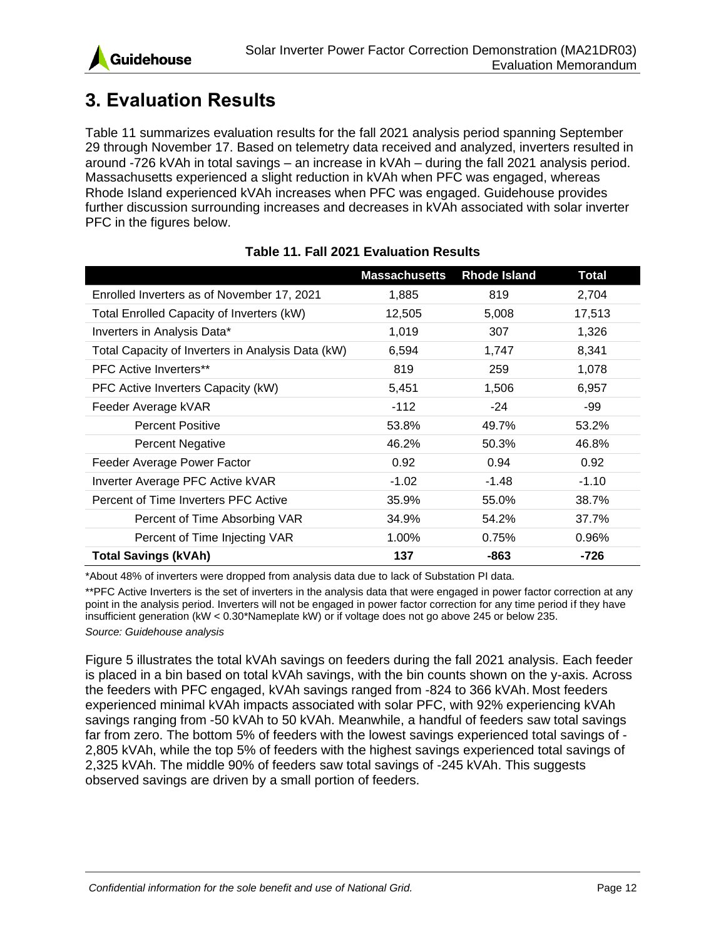![](_page_14_Picture_0.jpeg)

# <span id="page-14-0"></span>**3. Evaluation Results**

[Table 11](#page-14-1) summarizes evaluation results for the fall 2021 analysis period spanning September 29 through November 17. Based on telemetry data received and analyzed, inverters resulted in around -726 kVAh in total savings – an increase in kVAh – during the fall 2021 analysis period. Massachusetts experienced a slight reduction in kVAh when PFC was engaged, whereas Rhode Island experienced kVAh increases when PFC was engaged. Guidehouse provides further discussion surrounding increases and decreases in kVAh associated with solar inverter PFC in the figures below.

<span id="page-14-1"></span>

|                                                   | <b>Massachusetts</b> | <b>Rhode Island</b> | Total   |
|---------------------------------------------------|----------------------|---------------------|---------|
| Enrolled Inverters as of November 17, 2021        | 1,885                | 819                 | 2,704   |
| Total Enrolled Capacity of Inverters (kW)         | 12,505               | 5,008               | 17,513  |
| Inverters in Analysis Data*                       | 1,019                | 307                 | 1,326   |
| Total Capacity of Inverters in Analysis Data (kW) | 6,594                | 1,747               | 8,341   |
| <b>PFC Active Inverters**</b>                     | 819                  | 259                 | 1,078   |
| PFC Active Inverters Capacity (kW)                | 5,451                | 1,506               | 6,957   |
| Feeder Average kVAR                               | $-112$               | -24                 | -99     |
| <b>Percent Positive</b>                           | 53.8%                | 49.7%               | 53.2%   |
| <b>Percent Negative</b>                           | 46.2%                | 50.3%               | 46.8%   |
| Feeder Average Power Factor                       | 0.92                 | 0.94                | 0.92    |
| Inverter Average PFC Active kVAR                  | $-1.02$              | -1.48               | $-1.10$ |
| Percent of Time Inverters PFC Active              | 35.9%                | 55.0%               | 38.7%   |
| Percent of Time Absorbing VAR                     | 34.9%                | 54.2%               | 37.7%   |
| Percent of Time Injecting VAR                     | 1.00%                | 0.75%               | 0.96%   |
| <b>Total Savings (kVAh)</b>                       | 137                  | -863                | -726    |

### **Table 11. Fall 2021 Evaluation Results**

\*About 48% of inverters were dropped from analysis data due to lack of Substation PI data.

\*\*PFC Active Inverters is the set of inverters in the analysis data that were engaged in power factor correction at any point in the analysis period. Inverters will not be engaged in power factor correction for any time period if they have insufficient generation (kW < 0.30\*Nameplate kW) or if voltage does not go above 245 or below 235.

*Source: Guidehouse analysis*

[Figure 5](#page-15-1) illustrates the total kVAh savings on feeders during the fall 2021 analysis. Each feeder is placed in a bin based on total kVAh savings, with the bin counts shown on the y-axis. Across the feeders with PFC engaged, kVAh savings ranged from -824 to 366 kVAh. Most feeders experienced minimal kVAh impacts associated with solar PFC, with 92% experiencing kVAh savings ranging from -50 kVAh to 50 kVAh. Meanwhile, a handful of feeders saw total savings far from zero. The bottom 5% of feeders with the lowest savings experienced total savings of - 2,805 kVAh, while the top 5% of feeders with the highest savings experienced total savings of 2,325 kVAh. The middle 90% of feeders saw total savings of -245 kVAh. This suggests observed savings are driven by a small portion of feeders.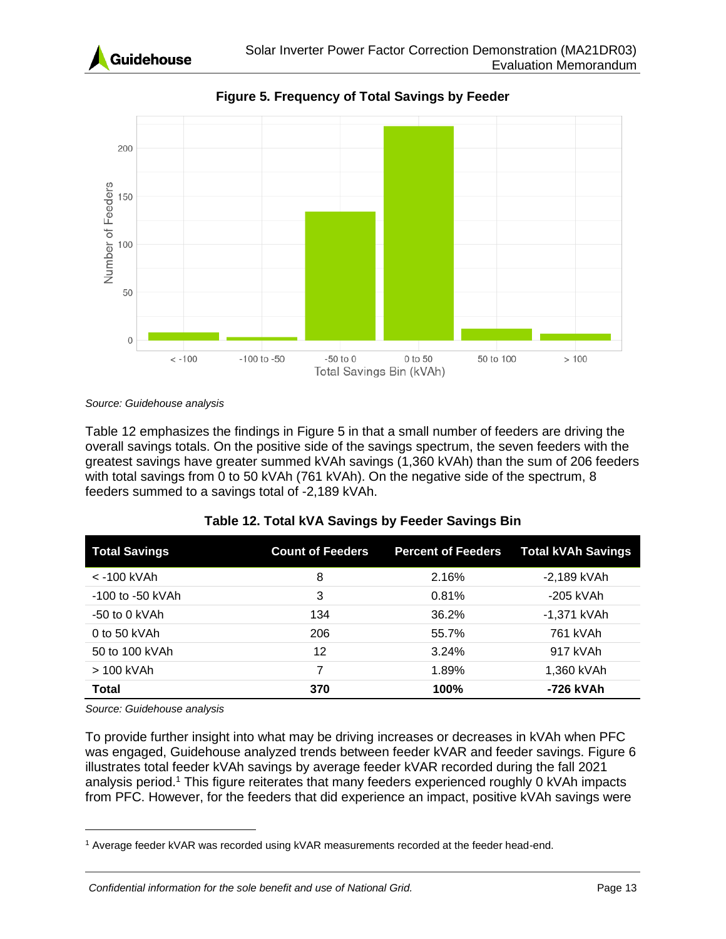![](_page_15_Picture_0.jpeg)

<span id="page-15-1"></span>![](_page_15_Figure_2.jpeg)

**Figure 5. Frequency of Total Savings by Feeder**

*Source: Guidehouse analysis*

[Table 12](#page-15-0) emphasizes the findings in [Figure 5](#page-15-1) in that a small number of feeders are driving the overall savings totals. On the positive side of the savings spectrum, the seven feeders with the greatest savings have greater summed kVAh savings (1,360 kVAh) than the sum of 206 feeders with total savings from 0 to 50 kVAh (761 kVAh). On the negative side of the spectrum, 8 feeders summed to a savings total of -2,189 kVAh.

<span id="page-15-0"></span>

| <b>Total Savings</b> | <b>Count of Feeders</b> | <b>Percent of Feeders</b> | <b>Total kVAh Savings</b> |
|----------------------|-------------------------|---------------------------|---------------------------|
| < -100 kVAh          | 8                       | 2.16%                     | -2,189 kVAh               |
| $-100$ to $-50$ kVAh | 3                       | 0.81%                     | -205 kVAh                 |
| $-50$ to 0 kVAh      | 134                     | 36.2%                     | -1,371 kVAh               |
| 0 to 50 kVAh         | 206                     | 55.7%                     | 761 kVAh                  |
| 50 to 100 kVAh       | 12                      | 3.24%                     | 917 kVAh                  |
| > 100 kVAh           | 7                       | 1.89%                     | 1,360 kVAh                |
| <b>Total</b>         | 370                     | 100%                      | -726 kVAh                 |

| Table 12. Total kVA Savings by Feeder Savings Bin |  |  |  |
|---------------------------------------------------|--|--|--|
|---------------------------------------------------|--|--|--|

*Source: Guidehouse analysis*

To provide further insight into what may be driving increases or decreases in kVAh when PFC was engaged, Guidehouse analyzed trends between feeder kVAR and feeder savings. [Figure 6](#page-16-0) illustrates total feeder kVAh savings by average feeder kVAR recorded during the fall 2021 analysis period.<sup>1</sup> This figure reiterates that many feeders experienced roughly 0 kVAh impacts from PFC. However, for the feeders that did experience an impact, positive kVAh savings were

<sup>1</sup> Average feeder kVAR was recorded using kVAR measurements recorded at the feeder head-end.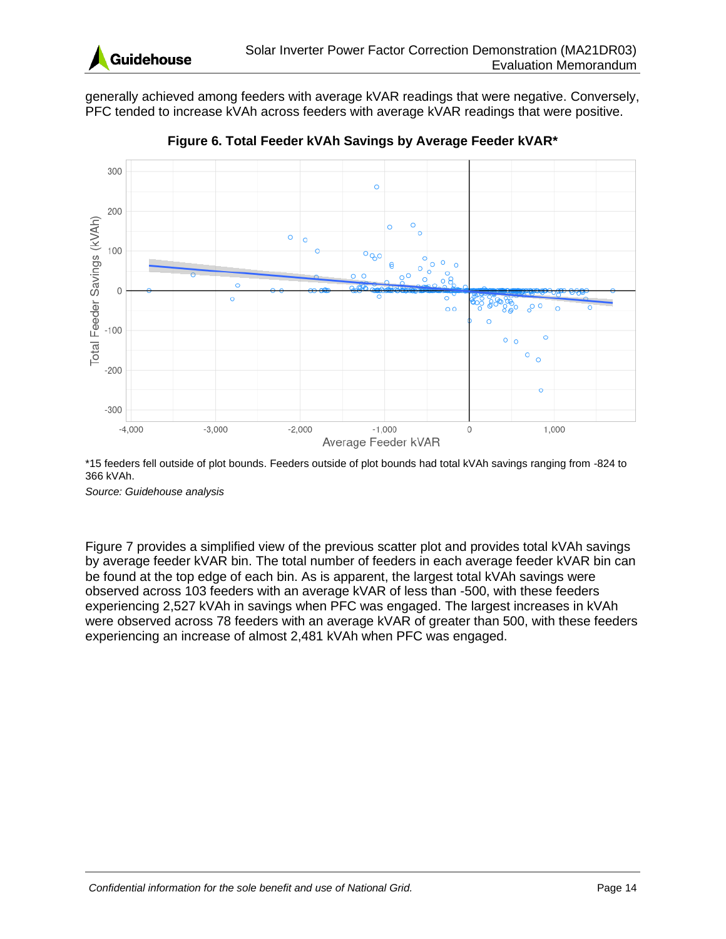![](_page_16_Picture_0.jpeg)

generally achieved among feeders with average kVAR readings that were negative. Conversely, PFC tended to increase kVAh across feeders with average kVAR readings that were positive.

<span id="page-16-0"></span>![](_page_16_Figure_3.jpeg)

**Figure 6. Total Feeder kVAh Savings by Average Feeder kVAR\***

\*15 feeders fell outside of plot bounds. Feeders outside of plot bounds had total kVAh savings ranging from -824 to 366 kVAh.

*Source: Guidehouse analysis*

[Figure 7](#page-17-0) provides a simplified view of the previous scatter plot and provides total kVAh savings by average feeder kVAR bin. The total number of feeders in each average feeder kVAR bin can be found at the top edge of each bin. As is apparent, the largest total kVAh savings were observed across 103 feeders with an average kVAR of less than -500, with these feeders experiencing 2,527 kVAh in savings when PFC was engaged. The largest increases in kVAh were observed across 78 feeders with an average kVAR of greater than 500, with these feeders experiencing an increase of almost 2,481 kVAh when PFC was engaged.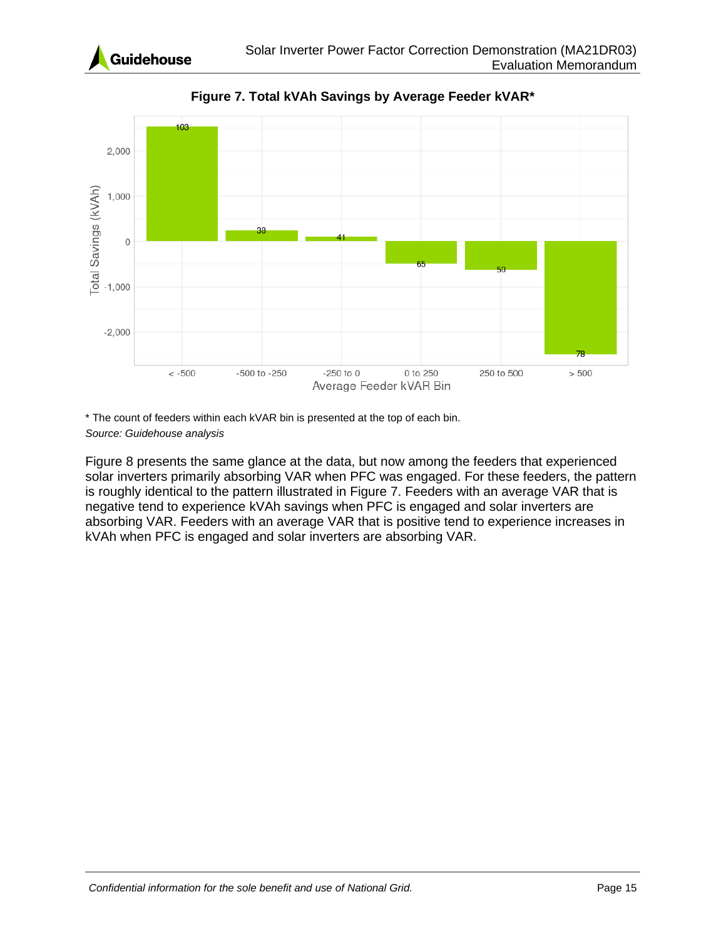![](_page_17_Picture_0.jpeg)

<span id="page-17-0"></span>![](_page_17_Figure_2.jpeg)

**Figure 7. Total kVAh Savings by Average Feeder kVAR\***

\* The count of feeders within each kVAR bin is presented at the top of each bin. *Source: Guidehouse analysis*

[Figure 8](#page-18-0) presents the same glance at the data, but now among the feeders that experienced solar inverters primarily absorbing VAR when PFC was engaged. For these feeders, the pattern is roughly identical to the pattern illustrated in [Figure 7.](#page-17-0) Feeders with an average VAR that is negative tend to experience kVAh savings when PFC is engaged and solar inverters are absorbing VAR. Feeders with an average VAR that is positive tend to experience increases in kVAh when PFC is engaged and solar inverters are absorbing VAR.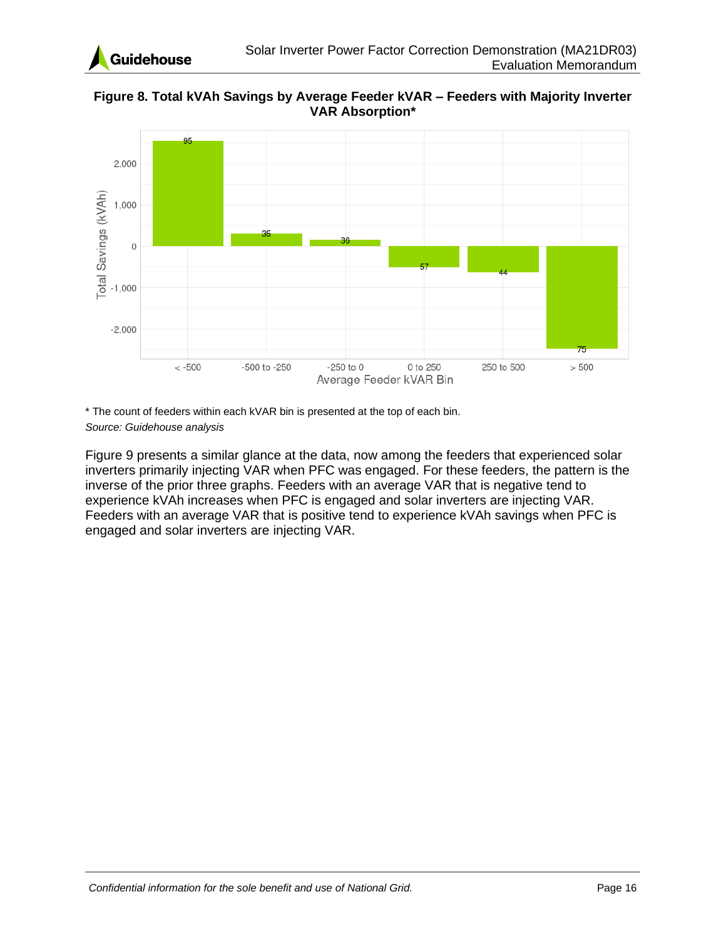![](_page_18_Picture_0.jpeg)

<span id="page-18-0"></span>**Figure 8. Total kVAh Savings by Average Feeder kVAR – Feeders with Majority Inverter VAR Absorption\***

![](_page_18_Figure_3.jpeg)

\* The count of feeders within each kVAR bin is presented at the top of each bin. *Source: Guidehouse analysis*

[Figure 9](#page-19-1) presents a similar glance at the data, now among the feeders that experienced solar inverters primarily injecting VAR when PFC was engaged. For these feeders, the pattern is the inverse of the prior three graphs. Feeders with an average VAR that is negative tend to experience kVAh increases when PFC is engaged and solar inverters are injecting VAR. Feeders with an average VAR that is positive tend to experience kVAh savings when PFC is engaged and solar inverters are injecting VAR.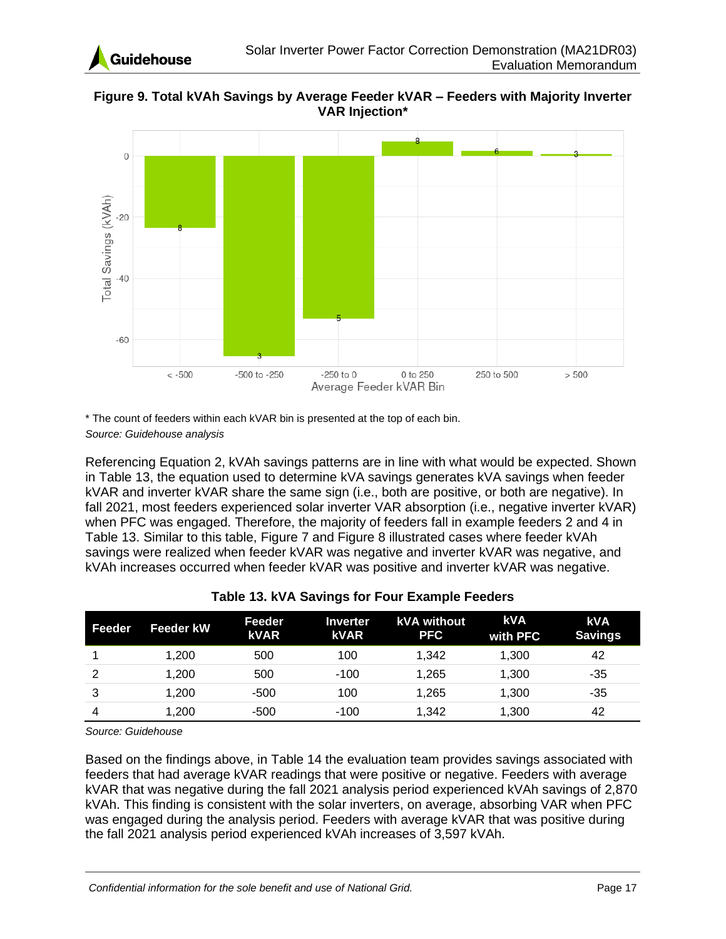![](_page_19_Picture_0.jpeg)

<span id="page-19-1"></span>**Figure 9. Total kVAh Savings by Average Feeder kVAR – Feeders with Majority Inverter VAR Injection\***

![](_page_19_Figure_3.jpeg)

\* The count of feeders within each kVAR bin is presented at the top of each bin.

*Source: Guidehouse analysis*

Referencing [Equation 2,](#page-13-2) kVAh savings patterns are in line with what would be expected. Shown in [Table 13,](#page-19-0) the equation used to determine kVA savings generates kVA savings when feeder kVAR and inverter kVAR share the same sign (i.e., both are positive, or both are negative). In fall 2021, most feeders experienced solar inverter VAR absorption (i.e., negative inverter kVAR) when PFC was engaged. Therefore, the majority of feeders fall in example feeders 2 and 4 in [Table 13.](#page-19-0) Similar to this table, [Figure 7](#page-17-0) and [Figure 8](#page-18-0) illustrated cases where feeder kVAh savings were realized when feeder kVAR was negative and inverter kVAR was negative, and kVAh increases occurred when feeder kVAR was positive and inverter kVAR was negative.

<span id="page-19-0"></span>

| Feeder | <b>Feeder kW</b> | Feeder<br><b>kVAR</b> | Inverter<br><b>kVAR</b> | <b>kVA</b> without<br><b>PFC</b> | <b>kVA</b><br>with PFC | <b>kVA</b><br><b>Savings</b> |
|--------|------------------|-----------------------|-------------------------|----------------------------------|------------------------|------------------------------|
|        | 1.200            | 500                   | 100                     | 1.342                            | 1,300                  | 42                           |
| 2      | 1.200            | 500                   | $-100$                  | 1.265                            | 1.300                  | $-35$                        |
| 3      | 1.200            | $-500$                | 100                     | 1,265                            | 1,300                  | $-35$                        |
| 4      | 1,200            | $-500$                | $-100$                  | 1,342                            | 1,300                  | 42                           |

### **Table 13. kVA Savings for Four Example Feeders**

*Source: Guidehouse*

Based on the findings above, in [Table 14](#page-20-0) the evaluation team provides savings associated with feeders that had average kVAR readings that were positive or negative. Feeders with average kVAR that was negative during the fall 2021 analysis period experienced kVAh savings of 2,870 kVAh. This finding is consistent with the solar inverters, on average, absorbing VAR when PFC was engaged during the analysis period. Feeders with average kVAR that was positive during the fall 2021 analysis period experienced kVAh increases of 3,597 kVAh.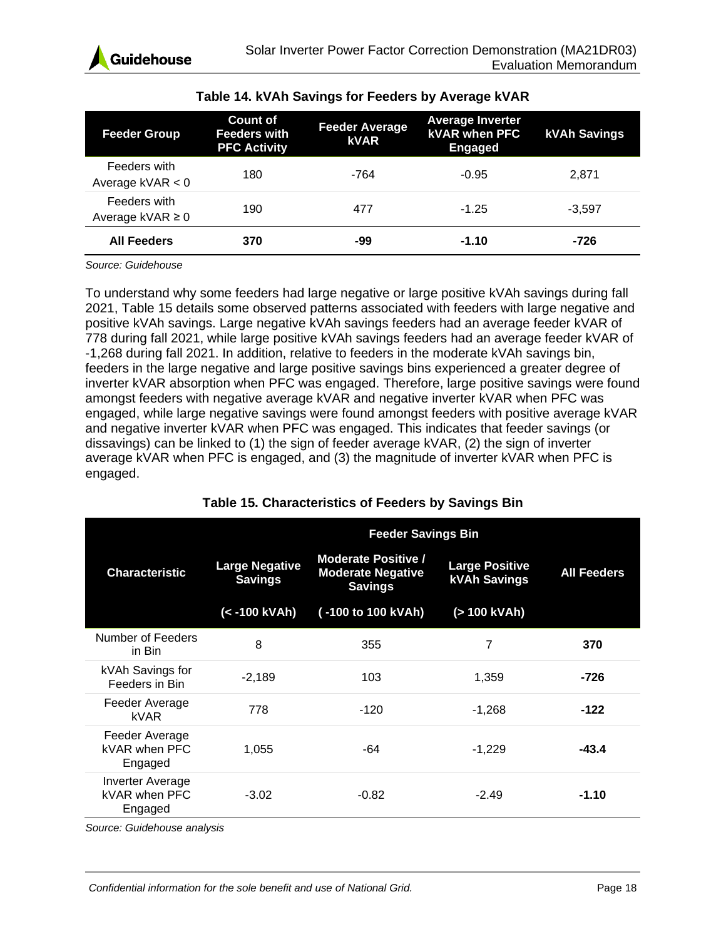<span id="page-20-0"></span>

| <b>Feeder Group</b>                  | <b>Count of</b><br><b>Feeders with</b><br><b>PFC Activity</b> | <b>Feeder Average</b><br><b>kVAR</b> | <b>Average Inverter</b><br><b>kVAR when PFC</b><br><b>Engaged</b> | <b>kVAh Savings</b> |
|--------------------------------------|---------------------------------------------------------------|--------------------------------------|-------------------------------------------------------------------|---------------------|
| Feeders with<br>Average $kVAR < 0$   | 180                                                           | -764                                 | $-0.95$                                                           | 2.871               |
| Feeders with<br>Average $kVAR \ge 0$ | 190                                                           | 477                                  | $-1.25$                                                           | $-3.597$            |
| <b>All Feeders</b>                   | 370                                                           | -99                                  | $-1.10$                                                           | -726                |

### **Table 14. kVAh Savings for Feeders by Average kVAR**

*Source: Guidehouse*

To understand why some feeders had large negative or large positive kVAh savings during fall 2021, [Table 15](#page-20-1) details some observed patterns associated with feeders with large negative and positive kVAh savings. Large negative kVAh savings feeders had an average feeder kVAR of 778 during fall 2021, while large positive kVAh savings feeders had an average feeder kVAR of -1,268 during fall 2021. In addition, relative to feeders in the moderate kVAh savings bin, feeders in the large negative and large positive savings bins experienced a greater degree of inverter kVAR absorption when PFC was engaged. Therefore, large positive savings were found amongst feeders with negative average kVAR and negative inverter kVAR when PFC was engaged, while large negative savings were found amongst feeders with positive average kVAR and negative inverter kVAR when PFC was engaged. This indicates that feeder savings (or dissavings) can be linked to (1) the sign of feeder average kVAR, (2) the sign of inverter average kVAR when PFC is engaged, and (3) the magnitude of inverter kVAR when PFC is engaged.

<span id="page-20-1"></span>

|                                                     | <b>Feeder Savings Bin</b>               |                                                                          |                                              |                    |  |
|-----------------------------------------------------|-----------------------------------------|--------------------------------------------------------------------------|----------------------------------------------|--------------------|--|
| <b>Characteristic</b>                               | <b>Large Negative</b><br><b>Savings</b> | <b>Moderate Positive /</b><br><b>Moderate Negative</b><br><b>Savings</b> | <b>Large Positive</b><br><b>kVAh Savings</b> | <b>All Feeders</b> |  |
|                                                     | (< -100 kVAh)                           | (-100 to 100 kVAh)                                                       | (> 100 kVAh)                                 |                    |  |
| Number of Feeders<br>in Bin                         | 8                                       | 355                                                                      | 7                                            | 370                |  |
| kVAh Savings for<br>Feeders in Bin                  | $-2,189$                                | 103                                                                      | 1,359                                        | -726               |  |
| Feeder Average<br><b>kVAR</b>                       | 778                                     | $-120$                                                                   | -1,268                                       | -122               |  |
| Feeder Average<br><b>kVAR when PFC</b><br>Engaged   | 1,055                                   | -64                                                                      | $-1,229$                                     | $-43.4$            |  |
| <b>Inverter Average</b><br>kVAR when PFC<br>Engaged | $-3.02$                                 | $-0.82$                                                                  | $-2.49$                                      | $-1.10$            |  |

### **Table 15. Characteristics of Feeders by Savings Bin**

*Source: Guidehouse analysis*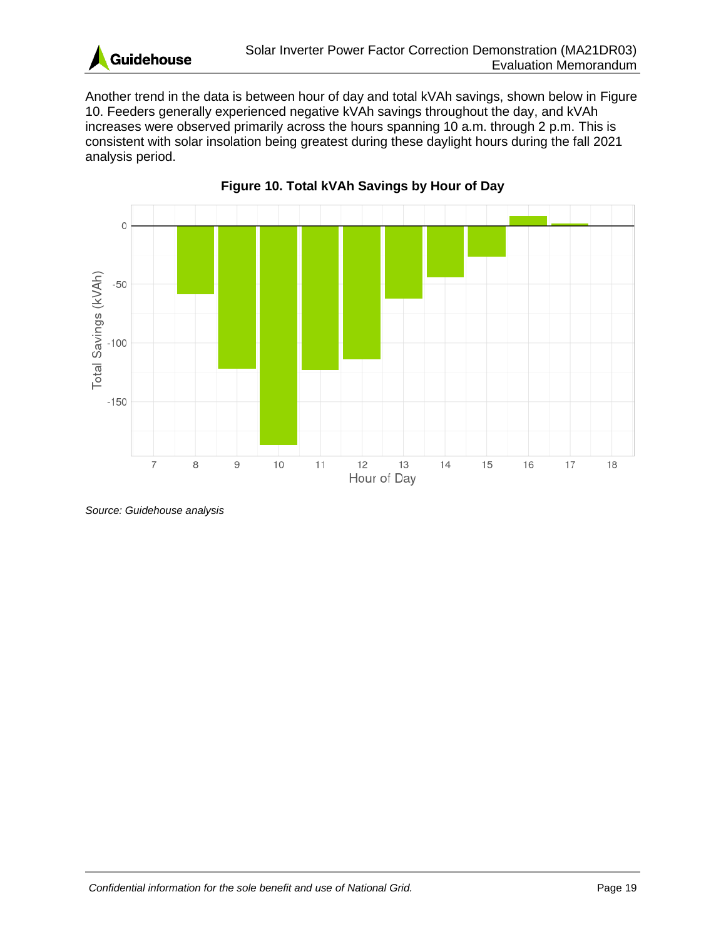![](_page_21_Picture_0.jpeg)

Another trend in the data is between hour of day and total kVAh savings, shown below in [Figure](#page-21-0)  [10.](#page-21-0) Feeders generally experienced negative kVAh savings throughout the day, and kVAh increases were observed primarily across the hours spanning 10 a.m. through 2 p.m. This is consistent with solar insolation being greatest during these daylight hours during the fall 2021 analysis period.

<span id="page-21-0"></span>![](_page_21_Figure_3.jpeg)

![](_page_21_Figure_4.jpeg)

*Source: Guidehouse analysis*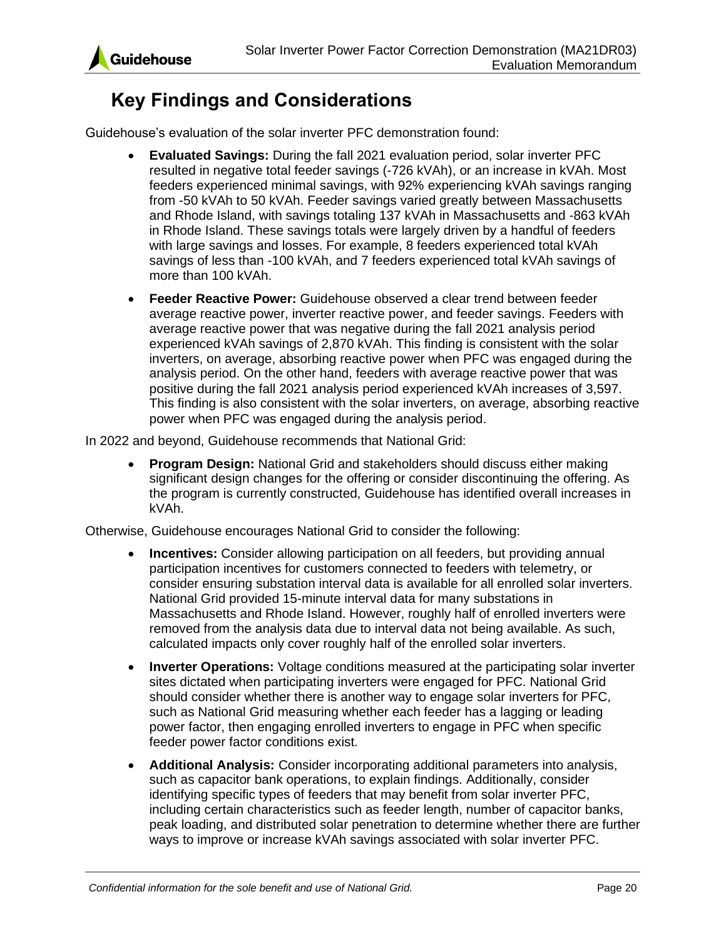![](_page_22_Picture_0.jpeg)

# <span id="page-22-0"></span>**Key Findings and Considerations**

Guidehouse's evaluation of the solar inverter PFC demonstration found:

- **Evaluated Savings:** During the fall 2021 evaluation period, solar inverter PFC resulted in negative total feeder savings (-726 kVAh), or an increase in kVAh. Most feeders experienced minimal savings, with 92% experiencing kVAh savings ranging from -50 kVAh to 50 kVAh. Feeder savings varied greatly between Massachusetts and Rhode Island, with savings totaling 137 kVAh in Massachusetts and -863 kVAh in Rhode Island. These savings totals were largely driven by a handful of feeders with large savings and losses. For example, 8 feeders experienced total kVAh savings of less than -100 kVAh, and 7 feeders experienced total kVAh savings of more than 100 kVAh.
- **Feeder Reactive Power:** Guidehouse observed a clear trend between feeder average reactive power, inverter reactive power, and feeder savings. Feeders with average reactive power that was negative during the fall 2021 analysis period experienced kVAh savings of 2,870 kVAh. This finding is consistent with the solar inverters, on average, absorbing reactive power when PFC was engaged during the analysis period. On the other hand, feeders with average reactive power that was positive during the fall 2021 analysis period experienced kVAh increases of 3,597. This finding is also consistent with the solar inverters, on average, absorbing reactive power when PFC was engaged during the analysis period.

In 2022 and beyond, Guidehouse recommends that National Grid:

• **Program Design:** National Grid and stakeholders should discuss either making significant design changes for the offering or consider discontinuing the offering. As the program is currently constructed, Guidehouse has identified overall increases in kVAh.

Otherwise, Guidehouse encourages National Grid to consider the following:

- **Incentives:** Consider allowing participation on all feeders, but providing annual participation incentives for customers connected to feeders with telemetry, or consider ensuring substation interval data is available for all enrolled solar inverters. National Grid provided 15-minute interval data for many substations in Massachusetts and Rhode Island. However, roughly half of enrolled inverters were removed from the analysis data due to interval data not being available. As such, calculated impacts only cover roughly half of the enrolled solar inverters.
- **Inverter Operations:** Voltage conditions measured at the participating solar inverter sites dictated when participating inverters were engaged for PFC. National Grid should consider whether there is another way to engage solar inverters for PFC, such as National Grid measuring whether each feeder has a lagging or leading power factor, then engaging enrolled inverters to engage in PFC when specific feeder power factor conditions exist.
- **Additional Analysis:** Consider incorporating additional parameters into analysis, such as capacitor bank operations, to explain findings. Additionally, consider identifying specific types of feeders that may benefit from solar inverter PFC, including certain characteristics such as feeder length, number of capacitor banks, peak loading, and distributed solar penetration to determine whether there are further ways to improve or increase kVAh savings associated with solar inverter PFC.